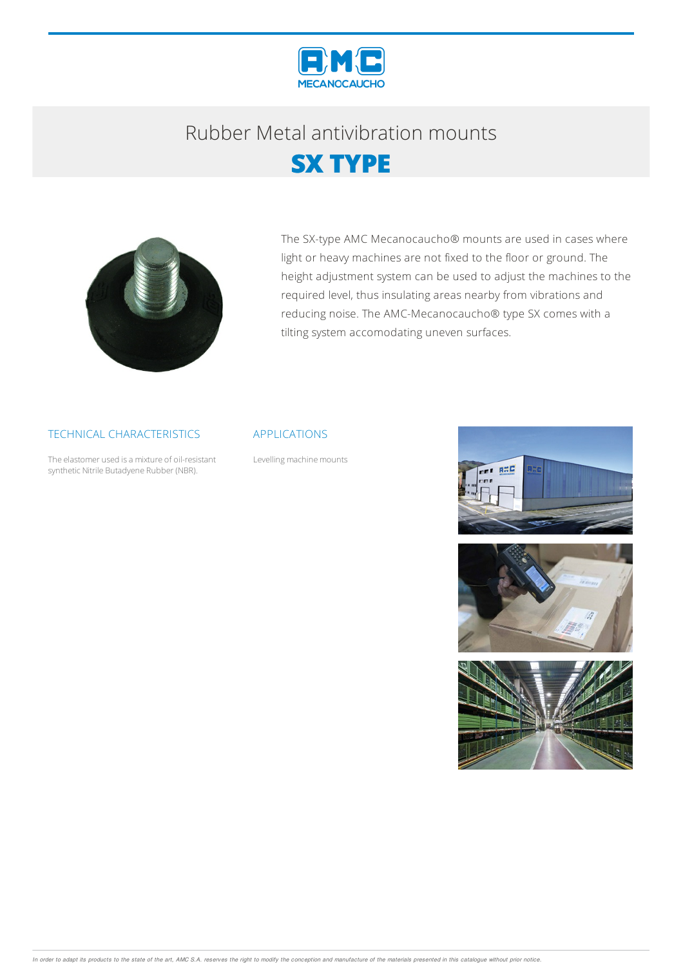

## Rubber Metalantivibration mounts





The SX-type AMC Mecanocaucho® mounts are used in cases where light or heavy machines are not fixed to the floor or ground. The height adjustment system can be used to adjust the machines to the required level, thus insulating areas nearby from vibrations and reducing noise. The AMC-Mecanocaucho® type SX comes with a tilting system accomodating uneven surfaces.

#### TECHNICAL CHARACTERISTICS

The elastomer used is a mixture of oil-resistant synthetic Nitrile Butadyene Rubber (NBR).

#### APPLICATIONS

Levelling machine mounts





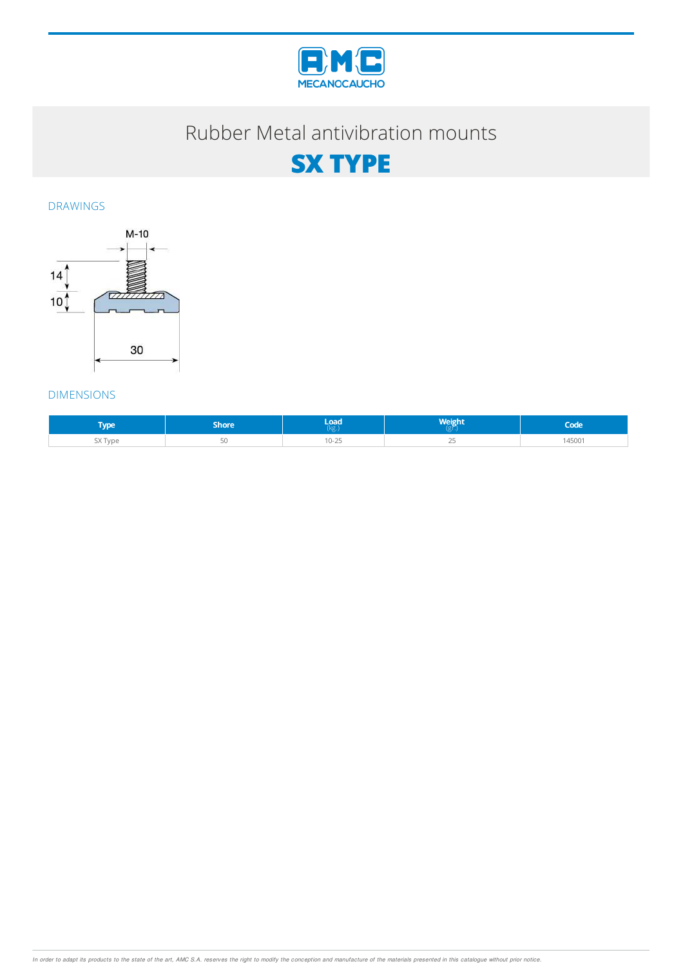

## Rubber Metal antivibration mounts



DRAWINGS



#### DIMENSIONS

| <b>VDE</b>   | Shore | load.                      | Weight | .uu   |
|--------------|-------|----------------------------|--------|-------|
| $-1$<br>Γvpe |       | $\sim$<br>$\sim$<br>$\sim$ |        | 45001 |